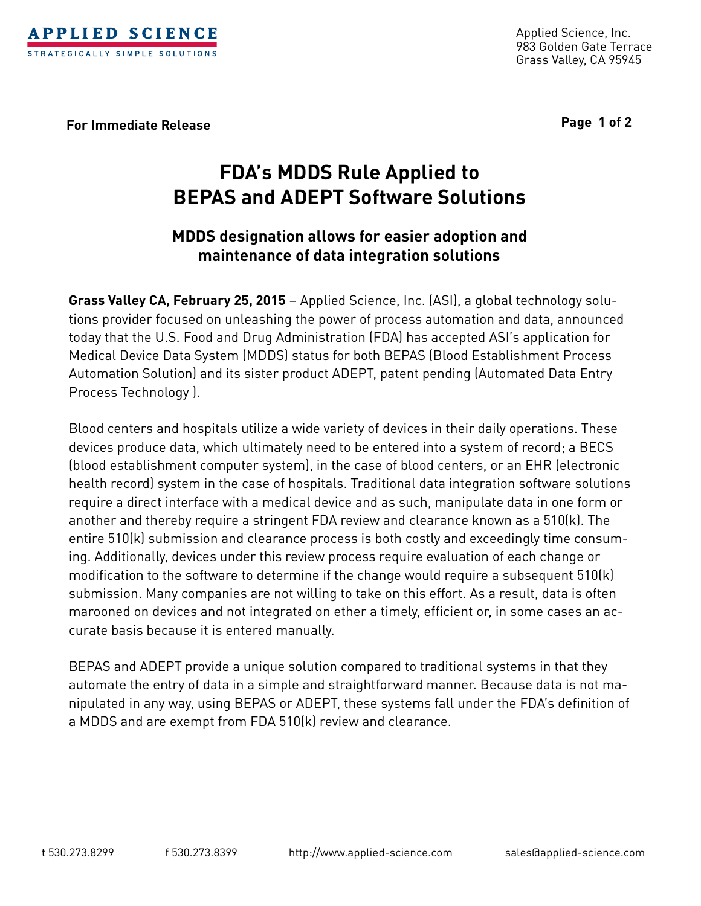

Applied Science, Inc. 983 Golden Gate Terrace Grass Valley, CA 95945

**For Immediate Release Page 1 of 2**

# **FDA's MDDS Rule Applied to BEPAS and ADEPT Software Solutions**

## **MDDS designation allows for easier adoption and maintenance of data integration solutions**

**Grass Valley CA, February 25, 2015** – Applied Science, Inc. (ASI), a global technology solutions provider focused on unleashing the power of process automation and data, announced today that the U.S. Food and Drug Administration (FDA) has accepted ASI's application for Medical Device Data System (MDDS) status for both BEPAS (Blood Establishment Process Automation Solution) and its sister product ADEPT, patent pending (Automated Data Entry Process Technology ).

Blood centers and hospitals utilize a wide variety of devices in their daily operations. These devices produce data, which ultimately need to be entered into a system of record; a BECS (blood establishment computer system), in the case of blood centers, or an EHR (electronic health record) system in the case of hospitals. Traditional data integration software solutions require a direct interface with a medical device and as such, manipulate data in one form or another and thereby require a stringent FDA review and clearance known as a 510(k). The entire 510(k) submission and clearance process is both costly and exceedingly time consuming. Additionally, devices under this review process require evaluation of each change or modification to the software to determine if the change would require a subsequent 510(k) submission. Many companies are not willing to take on this effort. As a result, data is often marooned on devices and not integrated on ether a timely, efficient or, in some cases an accurate basis because it is entered manually.

BEPAS and ADEPT provide a unique solution compared to traditional systems in that they automate the entry of data in a simple and straightforward manner. Because data is not manipulated in any way, using BEPAS or ADEPT, these systems fall under the FDA's definition of a MDDS and are exempt from FDA 510(k) review and clearance.